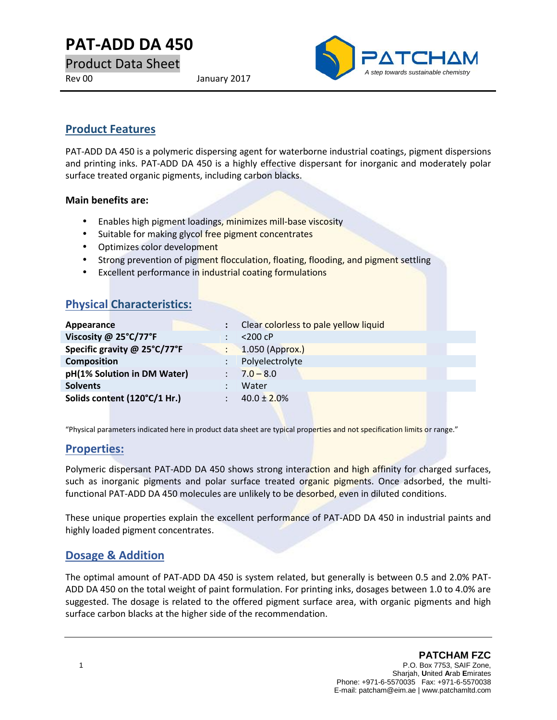# **PAT-ADD DA 450**

Product Data Sheet

Rev 00 January 2017



## **Product Features**

PAT-ADD DA 450 is a polymeric dispersing agent for waterborne industrial coatings, pigment dispersions and printing inks. PAT-ADD DA 450 is a highly effective dispersant for inorganic and moderately polar surface treated organic pigments, including carbon blacks.

#### **Main benefits are:**

- **•** Enables high pigment loadings, minimizes mill-base viscosity
- Suitable for making glycol free pigment concentrates
- Optimizes color development
- Strong prevention of pigment flocculation, floating, flooding, and pigment settling
- **Excellent performance in industrial coating formulations**

# **Physical Characteristics:**

| Appearance                   | Clear colorless to pale yellow liquid |  |
|------------------------------|---------------------------------------|--|
| Viscosity @ 25°C/77°F        | $<$ 200 $<$ P                         |  |
| Specific gravity @ 25°C/77°F | $1.050$ (Approx.)                     |  |
| <b>Composition</b>           | Polyelectrolyte                       |  |
| pH(1% Solution in DM Water)  | $7.0 - 8.0$                           |  |
| <b>Solvents</b>              | Water                                 |  |
| Solids content (120°C/1 Hr.) | $40.0 \pm 2.0\%$                      |  |
|                              |                                       |  |

"Physical parameters indicated here in product data sheet are typical properties and not specification limits or range."

### **Properties:**

Polymeric dispersant PAT-ADD DA 450 shows strong interaction and high affinity for charged surfaces, such as inorganic pigments and polar surface treated organic pigments. Once adsorbed, the multifunctional PAT-ADD DA 450 molecules are unlikely to be desorbed, even in diluted conditions.

These unique properties explain the excellent performance of PAT-ADD DA 450 in industrial paints and highly loaded pigment concentrates.

### **Dosage & Addition**

The optimal amount of PAT-ADD DA 450 is system related, but generally is between 0.5 and 2.0% PAT- ADD DA 450 on the total weight of paint formulation. For printing inks, dosages between 1.0 to 4.0% are suggested. The dosage is related to the offered pigment surface area, with organic pigments and high surface carbon blacks at the higher side of the recommendation.